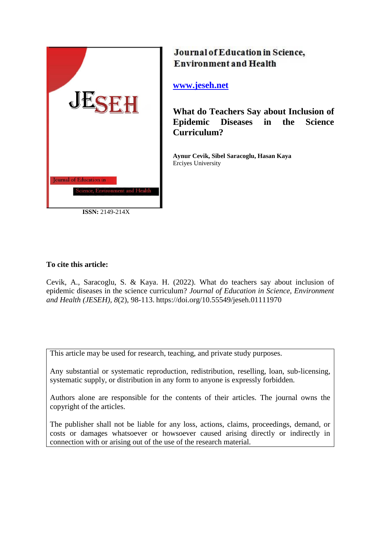

**ISSN:** 2149-214X

# Journal of Education in Science, **Environment and Health**

## **[www.jeseh.net](file:///C:/Users/mustafa/Desktop/www.jeseh.net)**

**What do Teachers Say about Inclusion of Epidemic Diseases in the Science Curriculum?**

**Aynur Cevik, Sibel Saracoglu, Hasan Kaya** Erciyes University

## **To cite this article:**

Cevik, A., Saracoglu, S. & Kaya. H. (2022). What do teachers say about inclusion of epidemic diseases in the science curriculum? *Journal of Education in Science, Environment and Health (JESEH), 8*(2), 98-113. https://doi.org/10.55549/jeseh.01111970

This article may be used for research, teaching, and private study purposes.

Any substantial or systematic reproduction, redistribution, reselling, loan, sub-licensing, systematic supply, or distribution in any form to anyone is expressly forbidden.

Authors alone are responsible for the contents of their articles. The journal owns the copyright of the articles.

The publisher shall not be liable for any loss, actions, claims, proceedings, demand, or costs or damages whatsoever or howsoever caused arising directly or indirectly in connection with or arising out of the use of the research material.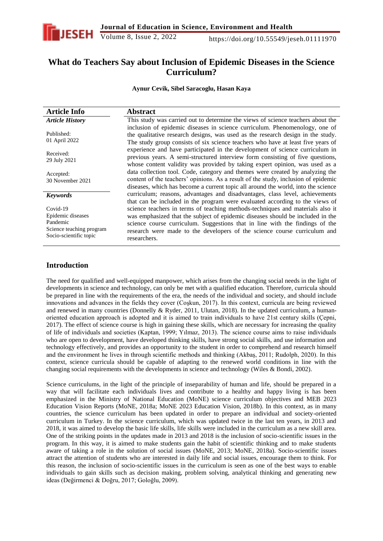

## **What do Teachers Say about Inclusion of Epidemic Diseases in the Science Curriculum?**

**Aynur Cevik, Sibel Saracoglu, Hasan Kaya**

| <b>Article Info</b>                                                                             | <b>Abstract</b>                                                                                                                                                                                                                                                                                                                               |
|-------------------------------------------------------------------------------------------------|-----------------------------------------------------------------------------------------------------------------------------------------------------------------------------------------------------------------------------------------------------------------------------------------------------------------------------------------------|
| <b>Article History</b>                                                                          | This study was carried out to determine the views of science teachers about the                                                                                                                                                                                                                                                               |
| Published:<br>01 April 2022                                                                     | inclusion of epidemic diseases in science curriculum. Phenomenology, one of<br>the qualitative research designs, was used as the research design in the study.<br>The study group consists of six science teachers who have at least five years of                                                                                            |
| Received:<br>29 July 2021                                                                       | experience and have participated in the development of science curriculum in<br>previous years. A semi-structured interview form consisting of five questions,<br>whose content validity was provided by taking expert opinion, was used as a                                                                                                 |
| Accepted:<br>30 November 2021                                                                   | data collection tool. Code, category and themes were created by analyzing the<br>content of the teachers' opinions. As a result of the study, inclusion of epidemic<br>diseases, which has become a current topic all around the world, into the science                                                                                      |
| <b>Keywords</b>                                                                                 | curriculum; reasons, advantages and disadvantages, class level, achievements<br>that can be included in the program were evaluated according to the views of                                                                                                                                                                                  |
| Covid-19<br>Epidemic diseases<br>Pandemic<br>Science teaching program<br>Socio-scientific topic | science teachers in terms of teaching methods-techniques and materials also it<br>was emphasized that the subject of epidemic diseases should be included in the<br>science course curriculum. Suggestions that in line with the findings of the<br>research were made to the developers of the science course curriculum and<br>researchers. |

## **Introduction**

The need for qualified and well-equipped manpower, which arises from the changing social needs in the light of developments in science and technology, can only be met with a qualified education. Therefore, curricula should be prepared in line with the requirements of the era, the needs of the individual and society, and should include innovations and advances in the fields they cover (Coşkun, 2017). In this context, curricula are being reviewed and renewed in many countries (Donnelly & Ryder, 2011, Ulutan, 2018). In the updated curriculum, a humanoriented education approach is adopted and it is aimed to train individuals to have 21st century skills (Çepni, 2017). The effect of science course is high in gaining these skills, which are necessary for increasing the quality of life of individuals and societies (Kaptan, 1999; Yılmaz, 2013). The science course aims to raise individuals who are open to development, have developed thinking skills, have strong social skills, and use information and technology effectively, and provides an opportunity to the student in order to comprehend and research himself and the environment he lives in through scientific methods and thinking (Akbaş, 2011; Rudolph, 2020). In this context, science curricula should be capable of adapting to the renewed world conditions in line with the changing social requirements with the developments in science and technology (Wiles & Bondi, 2002).

Science curriculums, in the light of the principle of inseparability of human and life, should be prepared in a way that will facilitate each individuals lives and contribute to a healthy and happy living is has been emphasized in the Ministry of National Education (MoNE) science curriculum objectives and MEB 2023 Education Vision Reports (MoNE, 2018a; MoNE 2023 Education Vision, 2018b). In this context, as in many countries, the science curriculum has been updated in order to prepare an individual and society-oriented curriculum in Turkey. In the science curriculum, which was updated twice in the last ten years, in 2013 and 2018, it was aimed to develop the basic life skills, life skills were included in the curriculum as a new skill area. One of the striking points in the updates made in 2013 and 2018 is the inclusion of socio-scientific issues in the program. In this way, it is aimed to make students gain the habit of scientific thinking and to make students aware of taking a role in the solution of social issues (MoNE, 2013; MoNE, 2018a). Socio-scientific issues attract the attention of students who are interested in daily life and social issues, encourage them to think. For this reason, the inclusion of socio-scientific issues in the curriculum is seen as one of the best ways to enable individuals to gain skills such as decision making, problem solving, analytical thinking and generating new ideas (Değirmenci & Doğru, 2017; Goloğlu, 2009).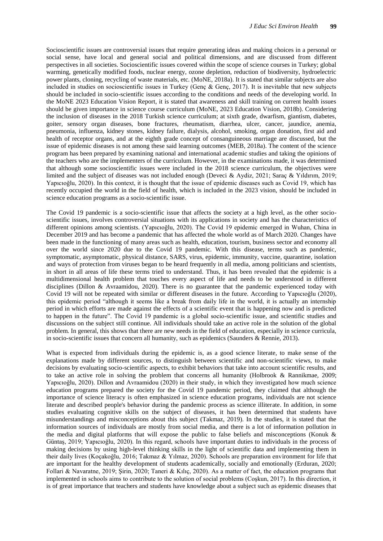Socioscientific issues are controversial issues that require generating ideas and making choices in a personal or social sense, have local and general social and political dimensions, and are discussed from different perspectives in all societies. Socioscientific issues covered within the scope of science courses in Turkey; global warming, genetically modified foods, nuclear energy, ozone depletion, reduction of biodiversity, hydroelectric power plants, cloning, recycling of waste materials, etc. (MoNE, 2018a). It is stated that similar subjects are also included in studies on socioscientific issues in Turkey (Genç & Genç, 2017). It is inevitable that new subjects should be included in socio-scientific issues according to the conditions and needs of the developing world. In the MoNE 2023 Education Vision Report, it is stated that awareness and skill training on current health issues should be given importance in science course curriculum (MoNE, 2023 Education Vision, 2018b). Considering the inclusion of diseases in the 2018 Turkish science curriculum; at sixth grade, dwarfism, giantism, diabetes, goiter, sensory organ diseases, bone fractures, rheumatism, diarrhea, ulcer, cancer, jaundice, anemia, pneumonia, influenza, kidney stones, kidney failure, dialysis, alcohol, smoking, organ donation, first aid and health of receptor organs, and at the eighth grade concept of consanguineous marriage are discussed, but the issue of epidemic diseases is not among these said learning outcomes (MEB, 2018a). The content of the science program has been prepared by examining national and international academic studies and taking the opinions of the teachers who are the implementers of the curriculum. However, in the examinations made, it was determined that although some socioscientific issues were included in the 2018 science curriculum, the objectives were limited and the subject of diseases was not included enough (Deveci & Aydiz, 2021; Saraç & Yıldırım, 2019; Yapıcıoğlu, 2020). In this context, it is thought that the issue of epidemic diseases such as Covid 19, which has recently occupied the world in the field of health, which is included in the 2023 vision, should be included in science education programs as a socio-scientific issue.

The Covid 19 pandemic is a socio-scientific issue that affects the society at a high level, as the other socioscientific issues, involves controversial situations with its applications in society and has the characteristics of different opinions among scientists. (Yapıcıoğlu, 2020). The Covid 19 epidemic emerged in Wuhan, China in December 2019 and has become a pandemic that has affected the whole world as of March 2020. Changes have been made in the functioning of many areas such as health, education, tourism, business sector and economy all over the world since 2020 due to the Covid 19 pandemic. With this disease, terms such as pandemic, symptomatic, asymptomatic, physical distance, SARS, virus, epidemic, immunity, vaccine, quarantine, isolation and ways of protection from viruses began to be heard frequently in all media, among politicians and scientists, in short in all areas of life these terms tried to understand. Thus, it has been revealed that the epidemic is a multidimensional health problem that touches every aspect of life and needs to be understood in different disciplines (Dillon & Avraamidou, 2020). There is no guarantee that the pandemic experienced today with Covid 19 will not be repeated with similar or different diseases in the future. According to Yapıcıoğlu (2020), this epidemic period "although it seems like a break from daily life in the world, it is actually an internship period in which efforts are made against the effects of a scientific event that is happening now and is predicted to happen in the future". The Covid 19 pandemic is a global socio-scientific issue, and scientific studies and discussions on the subject still continue. All individuals should take an active role in the solution of the global problem. In general, this shows that there are new needs in the field of education, especially in science curricula, in socio-scientific issues that concern all humanity, such as epidemics (Saunders  $\&$  Rennie, 2013).

What is expected from individuals during the epidemic is, as a good science literate, to make sense of the explanations made by different sources, to distinguish between scientific and non-scientific views, to make decisions by evaluating socio-scientific aspects, to exhibit behaviors that take into account scientific results, and to take an active role in solving the problem that concerns all humanity (Holbrook & Rannikmae, 2009; Yapıcıoğlu, 2020). Dillon and Avraamidou (2020) in their study, in which they investigated how much science education programs prepared the society for the Covid 19 pandemic period, they claimed that although the importance of science literacy is often emphasized in science education programs, individuals are not science literate and described people's behavior during the pandemic process as science illiterate. In addition, in some studies evaluating cognitive skills on the subject of diseases, it has been determined that students have misunderstandings and misconceptions about this subject (Takmaz, 2019). In the studies, it is stated that the information sources of individuals are mostly from social media, and there is a lot of information pollution in the media and digital platforms that will expose the public to false beliefs and misconceptions (Konuk & Güntaş, 2019; Yapıcıoğlu, 2020). In this regard, schools have important duties to individuals in the process of making decisions by using high-level thinking skills in the light of scientific data and implementing them in their daily lives (Koçakoğlu, 2016; Takmaz & Yılmaz, 2020). Schools are preparation environment for life that are important for the healthy development of students academically, socially and emotionally (Erduran, 2020; Follari & Navaratne, 2019; Şirin, 2020; Taneri & Kılıç, 2020). As a matter of fact, the education programs that implemented in schools aims to contribute to the solution of social problems (Coşkun, 2017). In this direction, it is of great importance that teachers and students have knowledge about a subject such as epidemic diseases that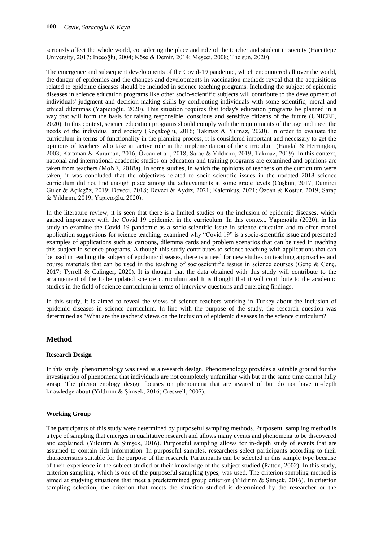seriously affect the whole world, considering the place and role of the teacher and student in society (Hacettepe University, 2017; İnceoğlu, 2004; Köse & Demir, 2014; Meşeci, 2008; The sun, 2020).

The emergence and subsequent developments of the Covid-19 pandemic, which encountered all over the world, the danger of epidemics and the changes and developments in vaccination methods reveal that the acquisitions related to epidemic diseases should be included in science teaching programs. Including the subject of epidemic diseases in science education programs like other socio-scientific subjects will contribute to the development of individuals' judgment and decision-making skills by confronting individuals with some scientific, moral and ethical dilemmas (Yapıcıoğlu, 2020). This situation requires that today's education programs be planned in a way that will form the basis for raising responsible, conscious and sensitive citizens of the future (UNICEF, 2020). In this context, science education programs should comply with the requirements of the age and meet the needs of the individual and society (Koçakoğlu, 2016; Takmaz & Yılmaz, 2020). In order to evaluate the curriculum in terms of functionality in the planning process, it is considered important and necessary to get the opinions of teachers who take an active role in the implementation of the curriculum (Handal & Herrington, 2003; Karaman & Karaman, 2016; Özcan et al., 2018; Saraç & Yıldırım, 2019; Takmaz, 2019). In this context, national and international academic studies on education and training programs are examined and opinions are taken from teachers (MoNE, 2018a). In some studies, in which the opinions of teachers on the curriculum were taken, it was concluded that the objectives related to socio-scientific issues in the updated 2018 science curriculum did not find enough place among the achievements at some grade levels (Coşkun, 2017, Demirci Güler & Açıkgöz, 2019; Deveci, 2018; Deveci & Aydiz, 2021; Kalemkuş, 2021; Özcan & Koştur, 2019; Saraç & Yıldırım, 2019; Yapıcıoğlu, 2020).

In the literature review, it is seen that there is a limited studies on the inclusion of epidemic diseases, which gained importance with the Covid 19 epidemic, in the curriculum. In this context, Yapıcıoğlu (2020), in his study to examine the Covid 19 pandemic as a socio-scientific issue in science education and to offer model application suggestions for science teaching, examined why "Covid 19" is a socio-scientific issue and presented examples of applications such as cartoons, dilemma cards and problem scenarios that can be used in teaching this subject in science programs. Although this study contributes to science teaching with applications that can be used in teaching the subject of epidemic diseases, there is a need for new studies on teaching approaches and course materials that can be used in the teaching of socioscientific issues in science courses (Genç & Genç, 2017; Tyrrell & Calinger, 2020). It is thought that the data obtained with this study will contribute to the arrangement of the to be updated science curriculum and It is thought that it will contribute to the academic studies in the field of science curriculum in terms of interview questions and emerging findings.

In this study, it is aimed to reveal the views of science teachers working in Turkey about the inclusion of epidemic diseases in science curriculum. In line with the purpose of the study, the research question was determined as "What are the teachers' views on the inclusion of epidemic diseases in the science curriculum?"

## **Method**

### **Research Design**

In this study, phenomenology was used as a research design. Phenomenology provides a suitable ground for the investigation of phenomena that individuals are not completely unfamiliar with but at the same time cannot fully grasp. The phenomenology design focuses on phenomena that are awared of but do not have in-depth knowledge about (Yıldırım & Şimşek, 2016; Creswell, 2007).

### **Working Group**

The participants of this study were determined by purposeful sampling methods. Purposeful sampling method is a type of sampling that emerges in qualitative research and allows many events and phenomena to be discovered and explained. (Yıldırım & Şimşek, 2016). Purposeful sampling allows for in-depth study of events that are assumed to contain rich information. In purposeful samples, researchers select participants according to their characteristics suitable for the purpose of the research. Participants can be selected in this sample type because of their experience in the subject studied or their knowledge of the subject studied (Patton, 2002). In this study, criterion sampling, which is one of the purposeful sampling types, was used. The criterion sampling method is aimed at studying situations that meet a predetermined group criterion (Yıldırım & Şimşek, 2016). In criterion sampling selection, the criterion that meets the situation studied is determined by the researcher or the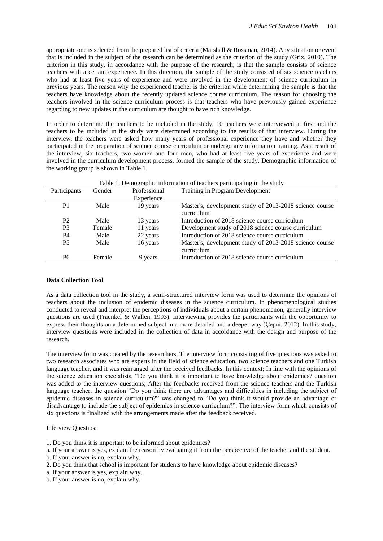appropriate one is selected from the prepared list of criteria (Marshall & Rossman, 2014). Any situation or event that is included in the subject of the research can be determined as the criterion of the study (Grix, 2010). The criterion in this study, in accordance with the purpose of the research, is that the sample consists of science teachers with a certain experience. In this direction, the sample of the study consisted of six science teachers who had at least five years of experience and were involved in the development of science curriculum in previous years. The reason why the experienced teacher is the criterion while determining the sample is that the teachers have knowledge about the recently updated science course curriculum. The reason for choosing the teachers involved in the science curriculum process is that teachers who have previously gained experience regarding to new updates in the curriculum are thought to have rich knowledge.

In order to determine the teachers to be included in the study, 10 teachers were interviewed at first and the teachers to be included in the study were determined according to the results of that interview. During the interview, the teachers were asked how many years of professional experience they have and whether they participated in the preparation of science course curriculum or undergo any information training. As a result of the interview, six teachers, two women and four men, who had at least five years of experience and were involved in the curriculum development process, formed the sample of the study. Demographic information of the working group is shown in Table 1.

| Table 1. Demographic information of teachers participating in the study |        |              |                                                                       |
|-------------------------------------------------------------------------|--------|--------------|-----------------------------------------------------------------------|
| Participants                                                            | Gender | Professional | Training in Program Development                                       |
|                                                                         |        | Experience   |                                                                       |
| P <sub>1</sub>                                                          | Male   | 19 years     | Master's, development study of 2013-2018 science course<br>curriculum |
| P <sub>2</sub>                                                          | Male   | 13 years     | Introduction of 2018 science course curriculum                        |
| P <sub>3</sub>                                                          | Female | 11 years     | Development study of 2018 science course curriculum                   |
| P4                                                                      | Male   | 22 years     | Introduction of 2018 science course curriculum                        |
| <b>P5</b>                                                               | Male   | 16 years     | Master's, development study of 2013-2018 science course               |
|                                                                         |        |              | curriculum                                                            |
| P <sub>6</sub>                                                          | Female | 9 years      | Introduction of 2018 science course curriculum                        |

### **Data Collection Tool**

As a data collection tool in the study, a semi-structured interview form was used to determine the opinions of teachers about the inclusion of epidemic diseases in the science curriculum. In phenomenological studies conducted to reveal and interpret the perceptions of individuals about a certain phenomenon, generally interview questions are used (Fraenkel & Wallen, 1993). Interviewing provides the participants with the opportunity to express their thoughts on a determined subject in a more detailed and a deeper way (Çepni, 2012). In this study, interview questions were included in the collection of data in accordance with the design and purpose of the research.

The interview form was created by the researchers. The interview form consisting of five questions was asked to two research associates who are experts in the field of science education, two science teachers and one Turkish language teacher, and it was rearranged after the received feedbacks. In this context; In line with the opinions of the science education specialists, "Do you think it is important to have knowledge about epidemics? question was added to the interview questions; After the feedbacks received from the science teachers and the Turkish language teacher, the question "Do you think there are advantages and difficulties in including the subject of epidemic diseases in science curriculum?" was changed to "Do you think it would provide an advantage or disadvantage to include the subject of epidemics in science curriculum?". The interview form which consists of six questions is finalized with the arrangements made after the feedback received.

#### Interview Questios:

- 1. Do you think it is important to be informed about epidemics?
- a. If your answer is yes, explain the reason by evaluating it from the perspective of the teacher and the student.
- b. If your answer is no, explain why.
- 2. Do you think that school is important for students to have knowledge about epidemic diseases?
- a. If your answer is yes, explain why.
- b. If your answer is no, explain why.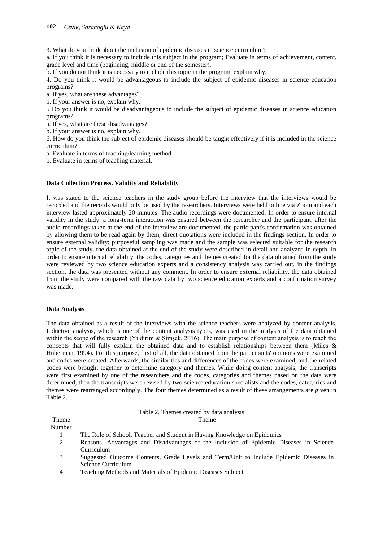3. What do you think about the inclusion of epidemic diseases in science curriculum?

a. If you think it is necessary to include this subject in the program; Evaluate in terms of achievement, content, grade level and time (beginning, middle or end of the semester).

b. If you do not think it is necessary to include this topic in the program, explain why.

4. Do you think it would be advantageous to include the subject of epidemic diseases in science education programs?

a. If yes, what are these advantages?

b. If your answer is no, explain why.

5 Do you think it would be disadvantageous to include the subject of epidemic diseases in science education programs?

a. If yes, what are these disadvantages?

b. If your answer is no, explain why.

6. How do you think the subject of epidemic diseases should be taught effectively if it is included in the science curriculum?

a. Evaluate in terms of teaching/learning method.

b. Evaluate in terms of teaching material.

## **Data Collection Process, Validity and Reliability**

It was stated to the science teachers in the study group before the interview that the interviews would be recorded and the records would only be used by the researchers. Interviews were held online via Zoom and each interview lasted approximately 20 minutes. The audio recordings were documented. In order to ensure internal validity in the study; a long-term interaction was ensured between the researcher and the participant, after the audio recordings taken at the end of the interview are documented, the participant's confirmation was obtained by allowing them to be read again by them, direct quotations were included in the findings section. In order to ensure external validity; purposeful sampling was made and the sample was selected suitable for the research topic of the study, the data obtained at the end of the study were described in detail and analyzed in depth. In order to ensure internal reliability; the codes, categories and themes created for the data obtained from the study were reviewed by two science education experts and a consistency analysis was carried out, in the findings section, the data was presented without any comment. In order to ensure external reliability, the data obtained from the study were compared with the raw data by two science education experts and a confirmation survey was made.

### **Data Analysis**

The data obtained as a result of the interviews with the science teachers were analyzed by content analysis. Inductive analysis, which is one of the content analysis types, was used in the analysis of the data obtained within the scope of the research (Yıldırım & Şimşek, 2016). The main purpose of content analysis is to reach the concepts that will fully explain the obtained data and to establish relationships between them (Miles & Huberman, 1994). For this purpose, first of all, the data obtained from the participants' opinions were examined and codes were created. Afterwards, the similarities and differences of the codes were examined, and the related codes were brought together to determine category and themes. While doing content analysis, the transcripts were first examined by one of the researchers and the codes, categories and themes based on the data were determined, then the transcripts were revised by two science education specialists and the codes, categories and themes were rearranged accordingly. The four themes determined as a result of these arrangements are given in Table 2.

| Table 2. Themes created by data analysis |                                                                                        |  |
|------------------------------------------|----------------------------------------------------------------------------------------|--|
| <b>Theme</b>                             | Theme                                                                                  |  |
| Number                                   |                                                                                        |  |
|                                          | The Role of School, Teacher and Student in Having Knowledge on Epidemics               |  |
| 2                                        | Reasons, Advantages and Disadvantages of the Inclusion of Epidemic Diseases in Science |  |
|                                          | Curriculum                                                                             |  |
| 3                                        | Suggested Outcome Contents, Grade Levels and Term/Unit to Include Epidemic Diseases in |  |
|                                          | Science Curriculum                                                                     |  |
| 4                                        | Teaching Methods and Materials of Epidemic Diseases Subject                            |  |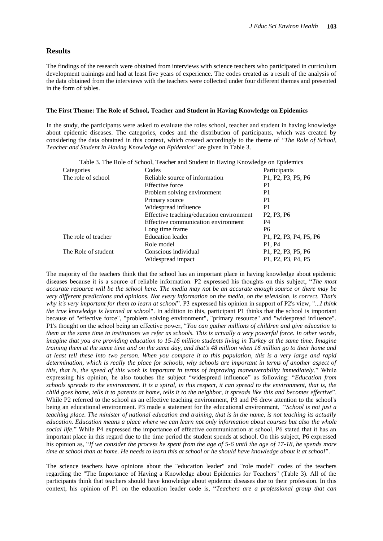## **Results**

The findings of the research were obtained from interviews with science teachers who participated in curriculum development trainings and had at least five years of experience. The codes created as a result of the analysis of the data obtained from the interviews with the teachers were collected under four different themes and presented in the form of tables.

#### **The First Theme: The Role of School, Teacher and Student in Having Knowledge on Epidemics**

In the study, the participants were asked to evaluate the roles school, teacher and student in having knowledge about epidemic diseases. The categories, codes and the distribution of participants, which was created by considering the data obtained in this context, which created accordingly to the theme of *"The Role of School, Teacher and Student in Having Knowledge on Epidemics"* are given in Table 3.

| Table 3. The Role of School, Teacher and Student in Having Knowledge on Epidemics |                                          |                                                                                                     |
|-----------------------------------------------------------------------------------|------------------------------------------|-----------------------------------------------------------------------------------------------------|
| Categories                                                                        | Codes                                    | Participants                                                                                        |
| The role of school                                                                | Reliable source of information           | P <sub>1</sub> , P <sub>2</sub> , P <sub>3</sub> , P <sub>5</sub> , P <sub>6</sub>                  |
|                                                                                   | Effective force                          | P <sub>1</sub>                                                                                      |
|                                                                                   | Problem solving environment              | P <sub>1</sub>                                                                                      |
|                                                                                   | Primary source                           | P <sub>1</sub>                                                                                      |
|                                                                                   | Widespread influence                     |                                                                                                     |
|                                                                                   | Effective teaching/education environment | P <sub>2</sub> , P <sub>3</sub> , P <sub>6</sub>                                                    |
|                                                                                   | Effective communication environment      | <b>P4</b>                                                                                           |
|                                                                                   | Long time frame                          |                                                                                                     |
| The role of teacher                                                               | Education leader                         | P <sub>1</sub> , P <sub>2</sub> , P <sub>3</sub> , P <sub>4</sub> , P <sub>5</sub> , P <sub>6</sub> |
|                                                                                   | Role model                               | P <sub>1</sub> . P <sub>4</sub>                                                                     |
| The Role of student                                                               | Conscious individual                     | P <sub>1</sub> , P <sub>2</sub> , P <sub>3</sub> , P <sub>5</sub> , P <sub>6</sub>                  |
|                                                                                   | Widespread impact                        | P <sub>1</sub> , P <sub>2</sub> , P <sub>3</sub> , P <sub>4</sub> , P <sub>5</sub>                  |

The majority of the teachers think that the school has an important place in having knowledge about epidemic diseases because it is a source of reliable information. P2 expressed his thoughts on this subject, "*The most accurate resource will be the school here. The media may not be an accurate enough source or there may be very different predictions and opinions. Not every information on the media, on the television, is correct. That's why it's very important for them to learn at school*". P3 expressed his opinion in support of P2's view, "*...I think the true knowledge is learned at schoo*l". In addition to this, participant P1 thinks that the school is important because of "effective force", "problem solving environment", "primary resource" and "widespread influence". P1's thought on the school being an effective power, "*You can gather millions of children and give education to them at the same time in institutions we refer as schools. This is actually a very powerful force. In other words, imagine that you are providing education to 15-16 million students living in Turkey at the same time. Imagine training them at the same time and on the same day, and that's 48 million when 16 million go to their home and at least tell these into two person. When you compare it to this population, this is a very large and rapid determination, which is really the place for schools, why schools are important in terms of another aspect of this, that is, the speed of this work is important in terms of improving maneuverability immediately*." While expressing his opinion, he also touches the subject "widespread influence" as following: "*Education from schools spreads to the environment. It is a spiral, in this respect, it can spread to the environment, that is, the child goes home, tells it to parents at home, tells it to the neighbor, it spreads like this and becomes effective*". While P2 referred to the school as an effective teaching environment, P3 and P6 drew attention to the school's being an educational environment. P3 made a statement for the educational environment, "*School is not just a teaching place. The minister of national education and training, that is in the name, is not teaching its actually education. Education means a place where we can learn not only information about courses but also the whole social life*." While P4 expressed the importance of effective communication at school, P6 stated that it has an important place in this regard due to the time period the student spends at school. On this subject, P6 expressed his opinion as, "*If we consider the process he spent from the age of 5-6 until the age of 17-18, he spends more time at school than at home. He needs to learn this at school or he should have knowledge about it at school*".

The science teachers have opinions about the "education leader" and "role model" codes of the teachers regarding the "The Importance of Having a Knowledge about Epidemics for Teachers" (Table 3). All of the participants think that teachers should have knowledge about epidemic diseases due to their profession. In this context, his opinion of P1 on the education leader code is, "*Teachers are a professional group that can*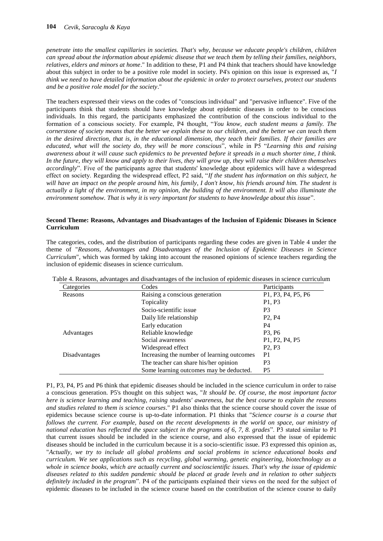*penetrate into the smallest capillaries in societies. That's why, because we educate people's children, children can spread about the information about epidemic disease that we teach them by telling their families, neighbors, relatives, elders and minors at home*." In addition to these, P1 and P4 think that teachers should have knowledge about this subject in order to be a positive role model in society. P4's opinion on this issue is expressed as, "*I think we need to have detailed information about the epidemic in order to protect ourselves, protect our students and be a positive role model for the society*."

The teachers expressed their views on the codes of "conscious individual" and "pervasive influence". Five of the participants think that students should have knowledge about epidemic diseases in order to be conscious individuals. In this regard, the participants emphasized the contribution of the conscious individual to the formation of a conscious society. For example, P4 thought, "*You know, each student means a family. The cornerstone of society means that the better we explain these to our children, and the better we can teach them in the desired direction, that is, in the educational dimension, they teach their families. If their families are educated, what will the society do, they will be more conscious*", while in P5 "*Learning this and raising awareness about it will cause such epidemics to be prevented before it spreads in a much shorter time, I think. In the future, they will know and apply to their lives, they will grow up, they will raise their children themselves accordingly*". Five of the participants agree that students' knowledge about epidemics will have a widespread effect on society. Regarding the widespread effect, P2 said, "*If the student has information on this subject, he will have an impact on the people around him, his family, I don't know, his friends around him. The student is actually a light of the environment, in my opinion, the building of the environment. It will also illuminate the environment somehow. That is why it is very important for students to have knowledge about this issue*".

#### **Second Theme: Reasons, Advantages and Disadvantages of the Inclusion of Epidemic Diseases in Science Curriculum**

The categories, codes, and the distribution of participants regarding these codes are given in Table 4 under the theme of "*Reasons, Advantages and Disadvantages of the Inclusion of Epidemic Diseases in Science Curriculum*", which was formed by taking into account the reasoned opinions of science teachers regarding the inclusion of epidemic diseases in science curriculum.

| Categories    | Codes                                      | Participants                                                      |
|---------------|--------------------------------------------|-------------------------------------------------------------------|
| Reasons       | Raising a conscious generation             | P1, P3, P4, P5, P6                                                |
|               | Topicality                                 | P <sub>1</sub> , P <sub>3</sub>                                   |
|               | Socio-scientific issue                     | P <sub>3</sub>                                                    |
|               | Daily life relationship                    | P <sub>2</sub> , P <sub>4</sub>                                   |
|               | Early education                            | P4                                                                |
| Advantages    | Reliable knowledge                         | P <sub>3</sub> , P <sub>6</sub>                                   |
|               | Social awareness                           | P <sub>1</sub> , P <sub>2</sub> , P <sub>4</sub> , P <sub>5</sub> |
|               | Widespread effect                          | P <sub>2</sub> . P <sub>3</sub>                                   |
| Disadvantages | Increasing the number of learning outcomes | P <sub>1</sub>                                                    |
|               | The teacher can share his/her opinion      | P <sub>3</sub>                                                    |
|               | Some learning outcomes may be deducted.    | P <sub>5</sub>                                                    |

Table 4. Reasons, advantages and disadvantages of the inclusion of epidemic diseases in science curriculum

P1, P3, P4, P5 and P6 think that epidemic diseases should be included in the science curriculum in order to raise a conscious generation. P5's thought on this subject was, "*It should be. Of course, the most important factor here is science learning and teaching, raising students' awareness, but the best course to explain the reasons and studies related to them is science courses*." P1 also thinks that the science course should cover the issue of epidemics because science course is up-to-date information. P1 thinks that "*Science course is a course that follows the current. For example, based on the recent developments in the world on space, our ministry of national education has reflected the space subject in the programs of 6, 7, 8. grades*". P3 stated similar to P1 that current issues should be included in the science course, and also expressed that the issue of epidemic diseases should be included in the curriculum because it is a socio-scientific issue. P3 expressed this opinion as, "*Actually, we try to include all global problems and social problems in science educational books and curriculum. We see applications such as recycling, global warming, genetic engineering, biotechnology as a whole in science books, which are actually current and socioscientific issues. That's why the issue of epidemic diseases related to this sudden pandemic should be placed at grade levels and in relation to other subjects definitely included in the program*". P4 of the participants explained their views on the need for the subject of epidemic diseases to be included in the science course based on the contribution of the science course to daily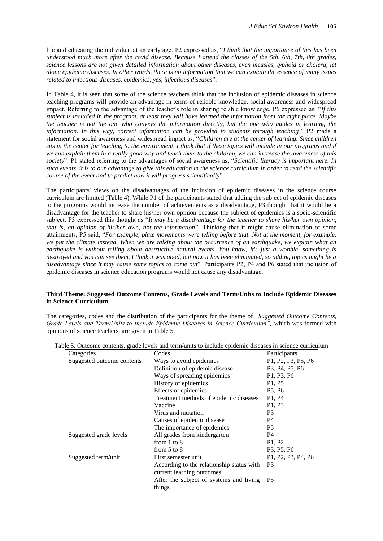life and educating the individual at an early age. P2 expressed as, "*I think that the importance of this has been understood much more after the covid disease. Because I attend the classes of the 5th, 6th, 7th, 8th grades, science lessons are not given detailed information about other diseases, even measles, typhoid or cholera, let alone epidemic diseases. In other words, there is no information that we can explain the essence of many issues related to infectious diseases, epidemics, yes, infectious diseases*".

In Table 4, it is seen that some of the science teachers think that the inclusion of epidemic diseases in science teaching programs will provide an advantage in terms of reliable knowledge, social awareness and widespread impact. Referring to the advantage of the teacher's role in sharing relable knowledge, P6 expressed as, "*If this subject is included in the program, at least they will have learned the information from the right place. Maybe the teacher is not the one who conveys the information directly, but the one who guides in learning the information. In this way, correct information can be provided to students through teaching*". P2 made a statement for social awareness and widespread impact as, "*Children are at the center of learning. Since children sits in the center for teaching to the environment, I think that if these topics will include in our programs and if we can explain them in a really good way and teach them to the children, we can increase the awareness of this society*". P1 stated referring to the advantages of social awareness as, "*Scientific literacy is important here. In such events, it is to our advantage to give this education in the science curriculum in order to read the scientific course of the event and to predict how it will progress scientifically*".

The participants' views on the disadvantages of the inclusion of epidemic diseases in the science course curriculum are limited (Table 4). While P1 of the participants stated that adding the subject of epidemic diseases to the programs would increase the number of achievements as a disadvantage, P3 thought that it would be a disadvantage for the teacher to share his/her own opinion because the subject of epidemics is a socio-scientific subject. P3 expressed this thought as "*It may be a disadvantage for the teacher to share his/her own opinion, that is, an opinion of his/her own, not the information*". Thinking that it might cause elimination of some attainments, P5 said, "*For example, plate movements were telling before that. Not at the moment, for example, we put the climate instead. When we are talking about the occurrence of an earthquake, we explain what an earthquake is without telling about destructive natural events. You know, it's just a wobble, something is destroyed and you can see them, I think it was good, but now it has been eliminated, so adding topics might be a disadvantage since it may cause some topics to come out*". Participants P2, P4 and P6 stated that inclusion of epidemic diseases in science education programs would not cause any disadvantage.

### **Third Theme: Suggested Outcome Contents, Grade Levels and Term/Units to Include Epidemic Diseases in Science Curriculum**

The categories, codes and the distribution of the participants for the theme of "*Suggested Outcome Contents, Grade Levels and Term/Units to Include Epidemic Diseases in Science Curriculum",* which was formed with opinions of science teachers, are given in Table 5.

| Categories                 | Codes                                     | Participants                                                                       |
|----------------------------|-------------------------------------------|------------------------------------------------------------------------------------|
| Suggested outcome contents | Ways to avoid epidemics                   | P1, P2, P3, P5, P6                                                                 |
|                            | Definition of epidemic disease            | P <sub>3</sub> , P <sub>4</sub> , P <sub>5</sub> , P <sub>6</sub>                  |
|                            | Ways of spreading epidemics               | P1, P3, P6                                                                         |
|                            | History of epidemics                      | P <sub>1</sub> , P <sub>5</sub>                                                    |
|                            | Effects of epidemics                      | P <sub>5</sub> , P <sub>6</sub>                                                    |
|                            | Treatment methods of epidemic diseases    | P1, P4                                                                             |
|                            | Vaccine                                   | P1, P3                                                                             |
|                            | Virus and mutation                        | P <sub>3</sub>                                                                     |
|                            | Causes of epidemic disease                | P4                                                                                 |
|                            | The importance of epidemics               | P <sub>5</sub>                                                                     |
| Suggested grade levels     | All grades from kindergarten              | P <sub>4</sub>                                                                     |
|                            | from $1$ to $8$                           | P <sub>1</sub> , P <sub>2</sub>                                                    |
|                            | from $5$ to $8$                           | P <sub>3</sub> , P <sub>5</sub> , P <sub>6</sub>                                   |
| Suggested term/unit        | First semester unit                       | P <sub>1</sub> , P <sub>2</sub> , P <sub>3</sub> , P <sub>4</sub> , P <sub>6</sub> |
|                            | According to the relationship status with | P <sub>3</sub>                                                                     |
|                            | current learning outcomes                 |                                                                                    |
|                            | After the subject of systems and living   | P <sub>5</sub>                                                                     |
|                            | things                                    |                                                                                    |

Table 5. Outcome contents, grade levels and term/units to include epidemic diseases in science curriculum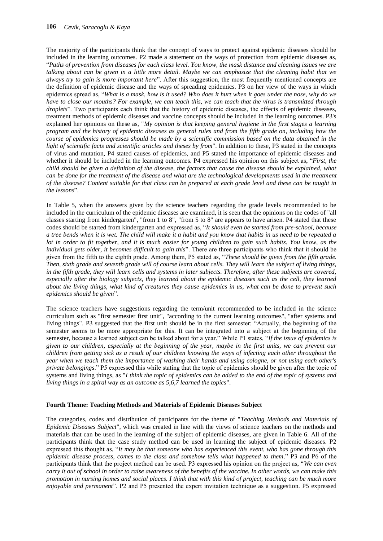The majority of the participants think that the concept of ways to protect against epidemic diseases should be included in the learning outcomes. P2 made a statement on the ways of protection from epidemic diseases as, "*Paths of prevention from diseases for each class level. You know, the mask distance and cleaning issues we are talking about can be given in a little more detail. Maybe we can emphasize that the cleaning habit that we always try to gain is more important here*". After this suggestion, the most frequently mentioned concepts are the definition of epidemic disease and the ways of spreading epidemics. P3 on her view of the ways in which epidemics spread as, "*What is a mask, how is it used? Who does it hurt when it goes under the nose, why do we have to close our mouths? For example, we can teach this, we can teach that the virus is transmitted through droplets*". Two participants each think that the history of epidemic diseases, the effects of epidemic diseases, treatment methods of epidemic diseases and vaccine concepts should be included in the learning outcomes. P3's explained her opinions on these as, "*My opinion is that keeping general hygiene in the first stages a learning program and the history of epidemic diseases as general rules and from the fifth grade on, including how the course of epidemics progresses should be made by a scientific commission based on the data obtained in the light of scientific facts and scientific articles and theses by from*". In addition to these, P3 stated in the concepts of virus and mutation, P4 stated causes of epidemics, and P5 stated the importance of epidemic diseases and whether it should be included in the learning outcomes. P4 expressed his opinion on this subject as, "*First, the child should be given a definition of the disease, the factors that cause the disease should be explained, what can be done for the treatment of the disease and what are the technological developments used in the treatment of the disease? Content suitable for that class can be prepared at each grade level and these can be taught in the lessons*".

In Table 5, when the answers given by the science teachers regarding the grade levels recommended to be included in the curriculum of the epidemic diseases are examined, it is seen that the opinions on the codes of "all classes starting from kindergarten", "from 1 to 8", "from 5 to 8" are appears to have arisen. P4 stated that these codes should be started from kindergarten and expressed as, "*It should even be started from pre-school, because a tree bends when it is wet. The child will make it a habit and you know that habits in us need to be repeated a lot in order to fit together, and it is much easier for young children to gain such habits. You know, as the individual gets older, it becomes difficult to gain this*". There are three participants who think that it should be given from the fifth to the eighth grade. Among them, P5 stated as, "*These should be given from the fifth grade. Then, sixth grade and seventh grade will of course learn about cells. They will learn the subject of living things, in the fifth grade, they will learn cells and systems in later subjects. Therefore, after these subjects are covered, especially after the biology subjects, they learned about the epidemic diseases such as the cell, they learned about the living things, what kind of creatures they cause epidemics in us, what can be done to prevent such epidemics should be given*".

The science teachers have suggestions regarding the term/unit recommended to be included in the science curriculum such as "first semester first unit", "according to the current learning outcomes", "after systems and living things". P3 suggested that the first unit should be in the first semester: "Actually, the beginning of the semester seems to be more appropriate for this. It can be integrated into a subject at the beginning of the semester, because a learned subject can be talked about for a year." While P1 states, "*If the issue of epidemics is given to our children, especially at the beginning of the year, maybe in the first units, we can prevent our children from getting sick as a result of our children knowing the ways of infecting each other throughout the year when we teach them the importance of washing their hands and using cologne, or not using each other's private belongings*." P5 expressed this while stating that the topic of epidemics should be given after the topic of systems and living things, as "*I think the topic of epidemics can be added to the end of the topic of systems and living things in a spiral way as an outcome as 5,6,7 learned the topics*".

#### **Fourth Theme: Teaching Methods and Materials of Epidemic Diseases Subject**

The categories, codes and distribution of participants for the theme of "*Teaching Methods and Materials of Epidemic Diseases Subject*", which was created in line with the views of science teachers on the methods and materials that can be used in the learning of the subject of epidemic diseases, are given in Table 6. All of the participants think that the case study method can be used in learning the subject of epidemic diseases. P2 expressed this thought as, "*It may be that someone who has experienced this event, who has gone through this epidemic disease process, comes to the class and somehow tells what happened to them*." P3 and P6 of the participants think that the project method can be used. P3 expressed his opinion on the project as, "*We can even carry it out of school in order to raise awareness of the benefits of the vaccine. In other words, we can make this promotion in nursing homes and social places. I think that with this kind of project, teaching can be much more enjoyable and permanent*". P2 and P5 presented the expert invitation technique as a suggestion. P5 expressed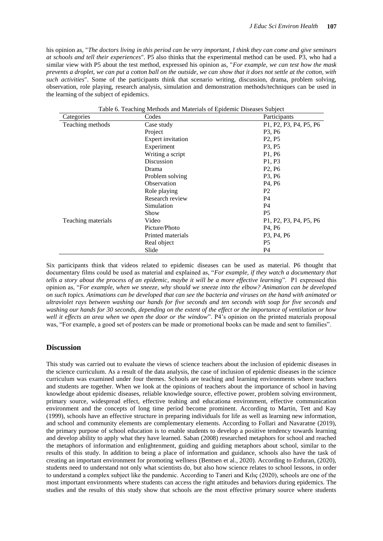his opinion as, "*The doctors living in this period can be very important, I think they can come and give seminars at schools and tell their experiences*". P5 also thinks that the experimental method can be used. P3, who had a similar view with P5 about the test method, expressed his opinion as, "*For example, we can test how the mask prevents a droplet, we can put a cotton ball on the outside, we can show that it does not settle at the cotton, with such activities*". Some of the participants think that scenario writing, discussion, drama, problem solving, observation, role playing, research analysis, simulation and demonstration methods/techniques can be used in the learning of the subject of epidemics.

| Categories         | Codes                    | Participants                                                                                        |
|--------------------|--------------------------|-----------------------------------------------------------------------------------------------------|
| Teaching methods   | Case study               | P <sub>1</sub> , P <sub>2</sub> , P <sub>3</sub> , P <sub>4</sub> , P <sub>5</sub> , P <sub>6</sub> |
|                    | Project                  | P <sub>3</sub> , P <sub>6</sub>                                                                     |
|                    | <b>Expert invitation</b> | P <sub>2</sub> , P <sub>5</sub>                                                                     |
|                    | Experiment               | P <sub>3</sub> , P <sub>5</sub>                                                                     |
|                    | Writing a script         | P1, P6                                                                                              |
|                    | Discussion               | P1, P3                                                                                              |
|                    | Drama                    | P <sub>2</sub> , P <sub>6</sub>                                                                     |
|                    | Problem solving          | P <sub>3</sub> , P <sub>6</sub>                                                                     |
|                    | Observation              | P <sub>4</sub> , P <sub>6</sub>                                                                     |
|                    | Role playing             | P <sub>2</sub>                                                                                      |
|                    | Research review          | P4                                                                                                  |
|                    | Simulation               | P4                                                                                                  |
|                    | Show                     | P <sub>5</sub>                                                                                      |
| Teaching materials | Video                    | P1, P2, P3, P4, P5, P6                                                                              |
|                    | Picture/Photo            | P <sub>4</sub> , P <sub>6</sub>                                                                     |
|                    | Printed materials        | P <sub>3</sub> , P <sub>4</sub> , P <sub>6</sub>                                                    |
|                    | Real object              | P5                                                                                                  |
|                    | Slide                    | P <sub>4</sub>                                                                                      |

Table 6. Teaching Methods and Materials of Epidemic Diseases Subject

Six participants think that videos related to epidemic diseases can be used as material. P6 thought that documentary films could be used as material and explained as, "*For example, if they watch a documentary that tells a story about the process of an epidemic, maybe it will be a more effective learning*". P1 expressed this opinion as, "*For example, when we sneeze, why should we sneeze into the elbow? Animation can be developed on such topics. Animations can be developed that can see the bacteria and viruses on the hand with animated or ultraviolet rays between washing our hands for five seconds and ten seconds with soap for five seconds and washing our hands for 30 seconds, depending on the extent of the effect or the importance of ventilation or how well it effects an area when we open the door or the window*". P4's opinion on the printed materials proposal was, "For example, a good set of posters can be made or promotional books can be made and sent to families".

### **Discussion**

This study was carried out to evaluate the views of science teachers about the inclusion of epidemic diseases in the science curriculum. As a result of the data analysis, the case of inclusion of epidemic diseases in the science curriculum was examined under four themes. Schools are teaching and learning environments where teachers and students are together. When we look at the opinions of teachers about the importance of school in having knowledge about epidemic diseases, reliable knowledge source, effective power, problem solving environment, primary source, widespread effect, effective teahing and educationa environment, effective communication environment and the concepts of long time period become prominent. According to Martin, Tett and Kay (1999), schools have an effective structure in preparing individuals for life as well as learning new information, and school and community elements are complementary elements. According to Follari and Navaratne (2019), the primary purpose of school education is to enable students to develop a positive tendency towards learning and develop ability to apply what they have learned. Saban (2008) researched metaphors for school and reached the metaphors of information and enlightenment, guiding and guiding metaphors about school, similar to the results of this study. In addition to being a place of information and guidance, schools also have the task of creating an important environment for promoting wellness (Bentsen et al., 2020). According to Erduran, (2020), students need to understand not only what scientists do, but also how science relates to school lessons, in order to understand a complex subject like the pandemic. According to Taneri and Kılıç (2020), schools are one of the most important environments where students can access the right attitudes and behaviors during epidemics. The studies and the results of this study show that schools are the most effective primary source where students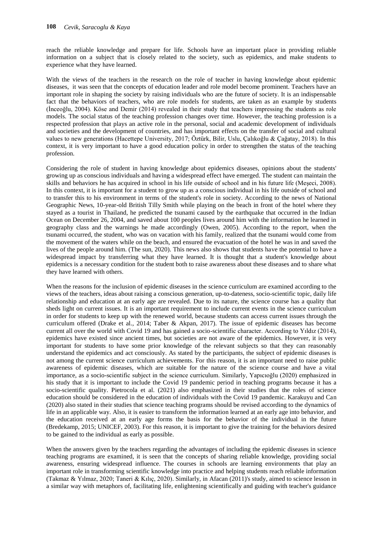reach the reliable knowledge and prepare for life. Schools have an important place in providing reliable information on a subject that is closely related to the society, such as epidemics, and make students to experience what they have learned.

With the views of the teachers in the research on the role of teacher in having knowledge about epidemic diseases, it was seen that the concepts of education leader and role model become prominent. Teachers have an important role in shaping the society by raising individuals who are the future of society. It is an indispensable fact that the behaviors of teachers, who are role models for students, are taken as an example by students (İnceoğlu, 2004). Köse and Demir (2014) revealed in their study that teachers impressing the students as role models. The social status of the teaching profession changes over time. However, the teaching profession is a respected profession that plays an active role in the personal, social and academic development of individuals and societies and the development of countries, and has important effects on the transfer of social and cultural values to new generations (Hacettepe University, 2017; Öztürk, Bilir, Uslu, Çalıkoğlu & Çağatay, 2018). In this context, it is very important to have a good education policy in order to strengthen the status of the teaching profession.

Considering the role of student in having knowledge about epidemics diseases, opinions about the students' growing up as conscious individuals and having a widespread effect have emerged. The student can maintain the skills and behaviors he has acquired in school in his life outside of school and in his future life (Meşeci, 2008). In this context, it is important for a student to grow up as a conscious individual in his life outside of school and to transfer this to his environment in terms of the student's role in society. According to the news of National Geographic News, 10-year-old British Tilly Smith while playing on the beach in front of the hotel where they stayed as a tourist in Thailand, he predicted the tsunami caused by the earthquake that occurred in the Indian Ocean on December 26, 2004, and saved about 100 peoples lives around him with the information he learned in geography class and the warnings he made accordingly (Owen, 2005). According to the report, when the tsunami occurred, the student, who was on vacation with his family, realized that the tsunami would come from the movement of the waters while on the beach, and ensured the evacuation of the hotel he was in and saved the lives of the people around him. (The sun, 2020). This news also shows that students have the potential to have a widespread impact by transferring what they have learned. It is thought that a student's knowledge about epidemics is a necessary condition for the student both to raise awareness about these diseases and to share what they have learned with others.

When the reasons for the inclusion of epidemic diseases in the science curriculum are examined according to the views of the teachers, ideas about raising a conscious generation, up-to-dateness, socio-scientific topic, daily life relationship and education at an early age are revealed. Due to its nature, the science course has a quality that sheds light on current issues. It is an important requirement to include current events in the science curriculum in order for students to keep up with the renewed world, because students can access current issues through the curriculum offered (Drake et al., 2014; Taber & Akpan, 2017). The issue of epidemic diseases has become current all over the world with Covid 19 and has gained a socio-scientific character. According to Yıldız (2014), epidemics have existed since ancient times, but societies are not aware of the epidemics. However, it is very important for students to have some prior knowledge of the relevant subjects so that they can reasonably understand the epidemics and act consciously. As stated by the participants, the subject of epidemic diseases is not among the current science curriculum achievements. For this reason, it is an important need to raise public awareness of epidemic diseases, which are suitable for the nature of the science course and have a vital importance, as a socio-scientific subject in the science curriculum. Similarly, Yapıcıoğlu (2020) emphasized in his study that it is important to include the Covid 19 pandemic period in teaching programs because it has a socio-scientific quality. Pietrocola et al. (2021) also emphasized in their studies that the roles of science education should be considered in the education of individuals with the Covid 19 pandemic. Karakuyu and Can (2020) also stated in their studies that science teaching programs should be revised according to the dynamics of life in an applicable way. Also, it is easier to transform the information learned at an early age into behavior, and the education received at an early age forms the basis for the behavior of the individual in the future (Bredekamp, 2015; UNICEF, 2003). For this reason, it is important to give the training for the behaviors desired to be gained to the individual as early as possible.

When the answers given by the teachers regarding the advantages of including the epidemic diseases in science teaching programs are examined, it is seen that the concepts of sharing reliable knowledge, providing social awareness, ensuring widespread influence. The courses in schools are learning environments that play an important role in transforming scientific knowledge into practice and helping students reach reliable information (Takmaz & Yılmaz, 2020; Taneri & Kılıç, 2020). Similarly, in Afacan (2011)'s study, aimed to science lesson in a similar way with metaphors of, facilitating life, enlightening scientifically and guiding with teacher's guidance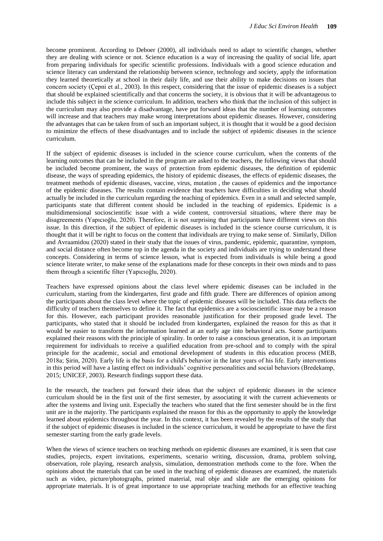become prominent. According to Deboer (2000), all individuals need to adapt to scientific changes, whether they are dealing with science or not. Science education is a way of increasing the quality of social life, apart from preparing individuals for specific scientific professions. Individuals with a good science education and science literacy can understand the relationship between science, technology and society, apply the information they learned theoretically at school in their daily life, and use their ability to make decisions on issues that concern society (Çepni et al., 2003). In this respect, considering that the issue of epidemic diseases is a subject that should be explained scientifically and that concerns the society, it is obvious that it will be advantageous to include this subject in the science curriculum. In addition, teachers who think that the inclusion of this subject in the curriculum may also provide a disadvantage, have put forward ideas that the number of learning outcomes will increase and that teachers may make wrong interpretations about epidemic diseases. However, considering the advantages that can be taken from of such an important subject, it is thought that it would be a good decision to minimize the effects of these disadvantages and to include the subject of epidemic diseases in the science curriculum.

If the subject of epidemic diseases is included in the science course curriculum, when the contents of the learning outcomes that can be included in the program are asked to the teachers, the following views that should be included become prominent, the ways of protection from epidemic diseases, the definition of epidemic disease, the ways of spreading epidemics, the history of epidemic diseases, the effects of epidemic diseases, the treatment methods of epidemic diseases, vaccine, virus, mutation , the causes of epidemics and the importance of the epidemic diseases. The results contain evidence that teachers have difficulties in deciding what should actually be included in the curriculum regarding the teaching of epidemics. Even in a small and selected sample, participants state that different content should be included in the teaching of epidemics. Epidemic is a multidimensional socioscientific issue with a wide content, controversial situations, where there may be disagreements (Yapıcıoğlu, 2020). Therefore, it is not surprising that participants have different views on this issue. In this direction, if the subject of epidemic diseases is included in the science course curriculum, it is thought that it will be right to focus on the content that individuals are trying to make sense of. Similarly, Dillon and Avraamidou (2020) stated in their study that the issues of virus, pandemic, epidemic, quarantine, symptom, and social distance often become top in the agenda in the society and individuals are trying to understand these concepts. Considering in terms of science lesson, what is expected from individuals is while being a good science literate writer, to make sense of the explanations made for these concepts in their own minds and to pass them through a scientific filter (Yapıcıoğlu, 2020).

Teachers have expressed opinions about the class level where epidemic diseases can be included in the curriculum, starting from the kindergarten, first grade and fifth grade. There are differences of opinion among the participants about the class level where the topic of epidemic diseases will be included. This data reflects the difficulty of teachers themselves to define it. The fact that epidemics are a socioscientific issue may be a reason for this. However, each participant provides reasonable justification for their proposed grade level. The participants, who stated that it should be included from kindergarten, explained the reason for this as that it would be easier to transform the information learned at an early age into behavioral acts. Some participants explained their reasons with the principle of spirality. In order to raise a conscious generation, it is an important requirement for individuals to receive a qualified education from pre-school and to comply with the spiral principle for the academic, social and emotional development of students in this education process (MEB, 2018a; Şirin, 2020). Early life is the basis for a child's behavior in the later years of his life. Early interventions in this period will have a lasting effect on individuals' cognitive personalities and social behaviors (Bredekamp, 2015; UNICEF, 2003). Research findings support these data.

In the research, the teachers put forward their ideas that the subject of epidemic diseases in the science curriculum should be in the first unit of the first semester, by associating it with the current achievements or after the systems and living unit. Especially the teachers who stated that the first semester should be in the first unit are in the majority. The participants explained the reason for this as the opportunity to apply the knowledge learned about epidemics throughout the year. In this context, it has been revealed by the results of the study that if the subject of epidemic diseases is included in the science curriculum, it would be appropriate to have the first semester starting from the early grade levels.

When the views of science teachers on teaching methods on epidemic diseases are examined, it is seen that case studies, projects, expert invitations, experiments, scenario writing, discussion, drama, problem solving, observation, role playing, research analysis, simulation, demonstration methods come to the fore. When the opinions about the materials that can be used in the teaching of epidemic diseases are examined, the materials such as video, picture/photographs, printed material, real obje and slide are the emerging opinions for appropriate materials. It is of great importance to use appropriate teaching methods for an effective teaching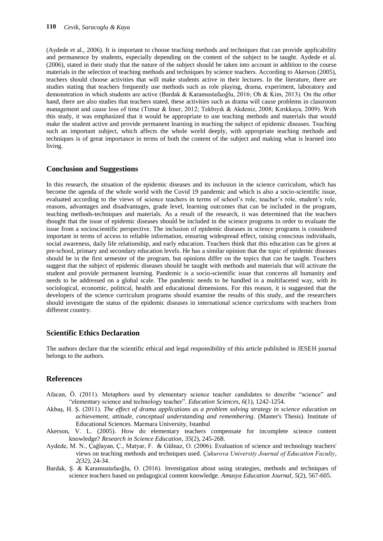(Aydede et al., 2006). It is important to choose teaching methods and techniques that can provide applicability and permanence by students, especially depending on the content of the subject to be taught. Aydede et al. (2006), stated in their study that the nature of the subject should be taken into account in addition to the course materials in the selection of teaching methods and techniques by science teachers. According to Akerson (2005), teachers should choose activities that will make students active in their lectures. In the literature, there are studies stating that teachers frequently use methods such as role playing, drama, experiment, laboratory and demonstration in which students are active (Bardak & Karamustafaoğlu, 2016; Oh & Kim, 2013). On the other hand, there are also studies that teachers stated, these activities such as drama will cause problems in classroom management and cause loss of time (Timur & İmer, 2012; Tekbıyık & Akdeniz, 2008; Kırıkkaya, 2009). With this study, it was emphasized that it would be appropriate to use teaching methods and materials that would make the student active and provide permanent learning in teaching the subject of epidemic diseases. Teaching such an important subject, which affects the whole world deeply, with appropriate teaching methods and techniques is of great importance in terms of both the content of the subject and making what is learned into living.

## **Conclusion and Suggestions**

In this research, the situation of the epidemic diseases and its inclusion in the science curriculum, which has become the agenda of the whole world with the Covid 19 pandemic and which is also a socio-scientific issue, evaluated according to the views of science teachers in terms of school's role, teacher's role, student's role, reasons, advantages and disadvantages, grade level, learning outcomes that can be included in the program, teaching methods-techniques and materials. As a result of the research, it was determined that the teachers thought that the issue of epidemic diseases should be included in the science programs in order to evaluate the issue from a socioscientific perspective. The inclusion of epidemic diseases in science programs is considered important in terms of access to reliable information, ensuring widespread effect, raising conscious individuals, social awareness, daily life relationship, and early education. Teachers think that this education can be given at pre-school, primary and secondary education levels. He has a similar opinion that the topic of epidemic diseases should be in the first semester of the program, but opinions differ on the topics that can be taught. Teachers suggest that the subject of epidemic diseases should be taught with methods and materials that will activate the student and provide permanent learning. Pandemic is a socio-scientific issue that concerns all humanity and needs to be addressed on a global scale. The pandemic needs to be handled in a multifaceted way, with its sociological, economic, political, health and educational dimensions. For this reason, it is suggested that the developers of the science curriculum programs should examine the results of this study, and the researchers should investigate the status of the epidemic diseases in international science curriculums with teachers from different country.

## **Scientific Ethics Declaration**

The authors declare that the scientific ethical and legal responsibility of this article published in JESEH journal belongs to the authors.

## **References**

- Afacan, Ö. (2011). Metaphors used by elementary science teacher candidates to describe "science" and "elementary science and technology teacher". *Education Sciences*, *6*(1), 1242-1254.
- Akbaş, H. Ş. (2011). *The effect of drama applications as a problem solving strategy in science education on achievement, attitude, conceptual understanding and remembering*. (Master's Thesis). Institute of Educational Sciences. Marmara University, Istanbul
- Akerson, V. L. (2005). How do elementary teachers compensate for incomplete science content knowledge? *Research in Science Education*, *35*(2), 245-268.
- Aydede, M. N., Çağlayan, Ç., Matyar, F. & Gülnaz, O. (2006). Evaluation of science and technology teachers' views on teaching methods and techniques used. *Çukurova University Journal of Education Faculty*, *2(32),* 24-34.
- Bardak, Ş. & Karamustafaoğlu, O. (2016). Investigation about using strategies, methods and techniques of science teachers based on pedagogical content knowledge. *Amasya Education Journal*, *5*(2), 567-605.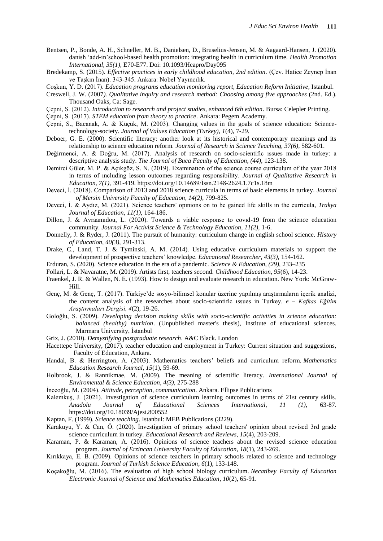- Bentsen, P., Bonde, A. H., Schneller, M. B., Danielsen, D., Bruselius-Jensen, M. & Aagaard-Hansen, J. (2020). danish 'add-in'school-based health promotion: integrating health in curriculum time. *Health Promotion International, 35(1),* E70-E77. Doi: 10.1093/Heapro/Day095
- Bredekamp, S. (2015). *Effective practices in early childhood education, 2nd edition*. (Çev. Hatice Zeynep İnan ve Taşkın İnan). 343-345. Ankara: Nobel Yayıncılık.
- Coşkun, Y. D. (2017). *Education programs education monitoring report, Education Reform Initiative*, Istanbul.
- Creswell, J. W. (2007*). Qualitative inquiry and research method: Choosing among five approaches* (2nd. Ed.). Thousand Oaks, Ca: Sage.
- Çepni, S. (2012). *Introduction to research and project studies, enhanced 6th edition*. Bursa: Celepler Printing.

Çepni, S. (2017). *STEM education from theory to practice*. Ankara: Pegem Academy.

- Çepni, S., Bacanak, A. & Küçük, M. (2003). Changing values in the goals of science education: Sciencetechnology-society. *Journal of Values Education (Turkey), 1*(4), 7-29.
- Deboer, G. E. (2000). Scientific literacy: another look at its historical and contemporary meanings and its relationship to science education reform*. Journal of Research in Science Teaching, 37(6),* 582-601.
- Değirmenci, A. & Doğru, M. (2017). Analysis of research on socio-scientific ıssues made in turkey: a descriptive analysis study. *The Journal of Buca Faculty of Education*, *(44),* 123-138.
- Demirci Güler, M. P. & Açıkgöz, S. N. (2019). Examinatıon of the science course curriculum of the year 2018 in terms of ıncluding lesson outcomes regarding responsibility. *Journal of Qualitative Research in Education, 7(1),* 391-419. https://doi.org/10.14689/İssn.2148-2624.1.7c1s.18m
- Deveci, İ. (2018). Comparison of 2013 and 2018 science curricula in terms of basic elements in turkey. *Journal of Mersin University Faculty of Education, 14(2),* 799-825.
- Deveci, İ. & Aydız, M. (2021). Science teachers' opınions on to be gained life skills ın the curricula, *Trakya Journal of Education, 11(1),* 164-186.
- Dillon, J. & Avraamıdou, L. (2020). Towards a viable response to covıd-19 from the science education community. *Journal For Activist Science & Technology Education, 11(2),* 1-6.
- Donnelly, J. & Ryder, J. (2011). The pursuit of humanity: curriculum change in english school science. *History of Education*, *40(3)*, 291-313.
- Drake, C., Land, T. J. & Tyminski, A. M. (2014). Using educative curriculum materials to support the development of prospective teachers' knowledge. *Educational Researcher, 43(3),* 154-162.
- Erduran, S. (2020). Science education in the era of a pandemic. *Science & Education, (29),* 233–235
- Follari, L. & Navaratne, M. (2019). Artists first, teachers second. *Childhood Education*, *95*(6), 14-23.
- Fraenkel, J. R. & Wallen, N. E. (1993). How to design and evaluate research in education. New York: McGraw-Hill.
- Genç, M. & Genç, T. (2017). Türkiye'de sosyo-bilimsel konular üzerine yapılmış araştırmaların içerik analizi, the content analysis of the researches about socio-scientific ıssues in Turkey. *e – Kafkas Eğitim Araştırmaları Dergisi, 4*(2), 19-26.
- Goloğlu, S. (2009). *Developing decision making skills with socio-scientific activities in science education: balanced (healthy) nutrition*. (Unpublished master's thesis), Institute of educational sciences. Marmara University, İstanbul
- Grix, J. (2010). *Demystifying postgraduate research*. A&C Black. London
- Hacettepe University, (2017). teacher education and employment in Turkey: Current situation and suggestions, Faculty of Education, Ankara.
- Handal, B. & Herrington, A. (2003). Mathematics teachers' beliefs and curriculum reform. *Mathematics Education Research Journal*, *15*(1), 59-69.
- Holbrook, J. & Rannikmae, M. (2009). The meaning of scientific literacy. *International Journal of Enviromental & Science Education, 4(3),* 275-288
- İnceoğlu, M. (2004). *Attitude, perception, communication*. Ankara. Ellipse Publications
- Kalemkuş, J. (2021). Investigation of science curriculum learning outcomes in terms of 21st century skills. *Anadolu Journal of Educational Sciences International, 11 (1),* 63-87. https://doi.org/10.18039/Ajesi.800552
- Kaptan, F. (1999). *Science teaching*. Istanbul: MEB Publications (3229).
- Karakuyu, Y. & Can, Ö. (2020). İnvestigation of primary school teachers' opinion about revised 3rd grade science curriculum in turkey. *Educational Research and Reviews*, *15*(4), 203-209.
- Karaman, P. & Karaman, A. (2016). Opinions of science teachers about the revised science education program*. Journal of Erzincan University Faculty of Education*, *18*(1), 243-269.
- Kırıkkaya, E. B. (2009). Opinions of science teachers in primary schools related to science and technology program. *Journal of Turkish Science Education*, *6*(1), 133-148.
- Koçakoğlu, M. (2016). The evaluation of high school biology curriculum. *Necatibey Faculty of Education Electronic Journal of Science and Mathematics Education*, *10*(2), 65-91.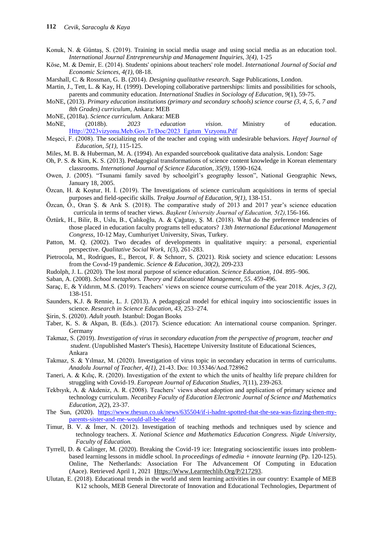- Konuk, N. & Güntaş, S. (2019). Training in social media usage and using social media as an education tool. *International Journal Entrepreneurship and Management Inquiries, 3(4),* 1-25
- Köse, M. & Demir, E. (2014). Students' opinions about teachers' role model. *International Journal of Social and Economic Sciences, 4(1)*, 08-18.
- Marshall, C. & Rossman, G. B. (2014). *Designing qualitative research*. Sage Publications, London.
- Martin, J., Tett, L. & Kay, H. (1999). Developing collaborative partnerships: limits and possibilities for schools, parents and community education. *International Studies in Sociology of Education*, *9*(1), 59-75.
- MoNE, (2013). *Primary education institutions (primary and secondary schools) science course (3, 4, 5, 6, 7 and 8th Grades) curriculum*, Ankara: MEB
- MoNE, (2018a). *Science curriculum.* Ankara: MEB
- MoNE, (2018b). *2023 education vision*. Ministry of education. [Http://2023vizyonu.Meb.Gov.Tr/Doc/2023\\_Egıtım\\_Vızyonu.Pdf](http://2023vizyonu.meb.gov.tr/Doc/2023_Egıtım_Vızyonu.Pdf)
- Meşeci, F. (2008). The socializing role of the teacher and coping with undesirable behaviors. *Hayef Journal of Education*, *5(1),* 115-125.
- Miles, M. B. & Huberman, M. A. (1994). An expanded sourcebook qualitative data analysis. London: Sage
- Oh, P. S. & Kim, K. S. (2013). Pedagogical transformations of science content knowledge in Korean elementary classrooms*. International Journal of Science Education, 35(9),* 1590-1624.
- Owen, J. (2005). "Tsunami family saved by schoolgirl's geography lesson", National Geographic News, January 18, 2005.
- Özcan, H. & Koştur, H. İ. (2019). The Investigations of science curriculum acquisitions in terms of special purposes and field-specific skills. *Trakya Journal of Education, 9(1),* 138-151.
- Özcan, Ö., Oran Ş. & Arık S. (2018). The comparative study of 2013 and 2017 year's science education curricula in terms of teacher views. *Başkent University Journal of Education, 5(2),*156-166.
- Öztürk, H., Bilir, B., Uslu, B., Çalıkoğlu, A. & Çağatay, Ş. M. (2018). What do the preference tendencies of those placed in education faculty programs tell educators? *13th International Educational Management Congress,* 10-12 May, Cumhuriyet University, Sivas, Turkey.
- Patton, M. Q. (2002). Two decades of developments in qualitative ınquiry: a personal, experiential perspective. *Qualitative Social Work*, *1*(3), 261-283.
- Pietrocola, M., Rodrigues, E., Bercot, F. & Schnorr, S. (2021). Risk society and science education: Lessons from the Covıd-19 pandemic. *Science & Education, 30(2),* 209-233
- Rudolph, J. L. (2020). The lost moral purpose of science education. *Science Education, 104*. 895–906.
- Saban, A. (2008). *School metaphors. Theory and Educational Management*, *55*. 459-496.
- Saraç, E, & Yıldırım, M.S. (2019). Teachers' views on science course curriculum of the year 2018. *Acjes, 3 (2),* 138-151.
- Saunders, K.J. & Rennie, L. J. (2013). A pedagogical model for ethical inquiry into socioscientific issues in science. *Research in Science Education, 43*, 253–274.
- Şirin, S. (2020). *Adult youth.* Istanbul: Dogan Books
- Taber, K. S. & Akpan, B. (Eds.). (2017). Science education: An international course companion. Springer. Germany
- Takmaz, S. (2019). *Investigation of virus in secondary education from the perspective of program, teacher and student*. (Unpublished Master's Thesis), Hacettepe University Institute of Educational Sciences, Ankara
- Takmaz, S. & Yılmaz, M. (2020). Investigation of virus topic in secondary education in terms of curriculums. *Anadolu Journal of Teacher, 4(1)*, 21-43. Doı: 10.35346/Aod.728962
- Taneri, A. & Kılıç, R. (2020). Investigation of the extent to which the units of healthy life prepare children for struggling with Covid-19. *European Journal of Education Studies*, *7*(11), 239-263.
- Tekbıyık, A. & Akdeniz, A. R. (2008). Teachers' views about adoption and application of primary science and technology curriculum. *Necatibey Faculty of Education Electronic Journal of Science and Mathematics Education*, *2*(2), 23-37.
- The Sun, (2020). [https://www.thesun.co.uk/news/635504/if-i-hadnt-spotted-that-the-sea-was-fizzing-then-my](https://www.thesun.co.uk/news/635504/if-i-hadnt-spotted-that-the-sea-was-fizzing-then-my-parents-sister-and-me-would-all-be-dead/)[parents-sister-and-me-would-all-be-dead/](https://www.thesun.co.uk/news/635504/if-i-hadnt-spotted-that-the-sea-was-fizzing-then-my-parents-sister-and-me-would-all-be-dead/)
- Timur, B. V. & İmer, N. (2012). Investigation of teaching methods and techniques used by science and technology teachers. *X. National Science and Mathematics Education Congress. Nigde University, Faculty of Education.*
- Tyrrell, D. & Calinger, M. (2020). Breaking the Covid-19 ice: Integrating socioscientific issues into problembased learning lessons in middle school. In *proceedings of edmedia + innovate learning* (Pp. 120-125). Online, The Netherlands: Association For The Advancement Of Computing in Education (Aace). Retrieved April 1, 2021 [Https://Www.Learntechlib.Org/P/217293.](https://www.learntechlib.org/p/217293)
- Ulutan, E. (2018). Educational trends in the world and stem learning activities in our country: Example of MEB K12 schools, MEB General Directorate of Innovation and Educational Technologies, Department of